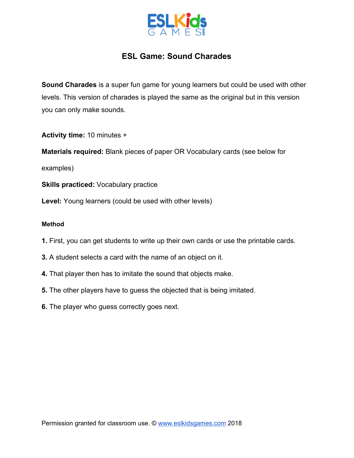

## **ESL Game: Sound Charades**

**Sound Charades** is a super fun game for young learners but could be used with other levels. This version of charades is played the same as the original but in this version you can only make sounds.

**Activity time:** 10 minutes +

**Materials required:** Blank pieces of paper OR Vocabulary cards (see below for

examples)

**Skills practiced:** Vocabulary practice

Level: Young learners (could be used with other levels)

## **Method**

- **1.** First, you can get students to write up their own cards or use the printable cards.
- **3.** A student selects a card with the name of an object on it.
- **4.** That player then has to imitate the sound that objects make.
- **5.** The other players have to guess the objected that is being imitated.
- **6.** The player who guess correctly goes next.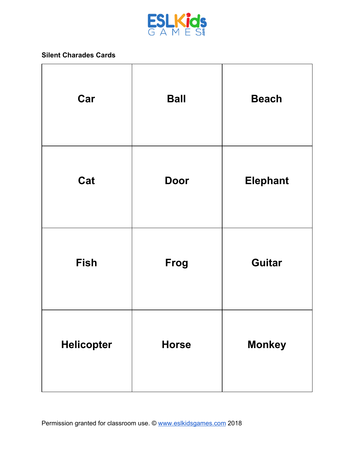

## **Silent Charades Cards**

| Car               | <b>Ball</b>  | <b>Beach</b>    |
|-------------------|--------------|-----------------|
| Cat               | <b>Door</b>  | <b>Elephant</b> |
| <b>Fish</b>       | Frog         | <b>Guitar</b>   |
| <b>Helicopter</b> | <b>Horse</b> | <b>Monkey</b>   |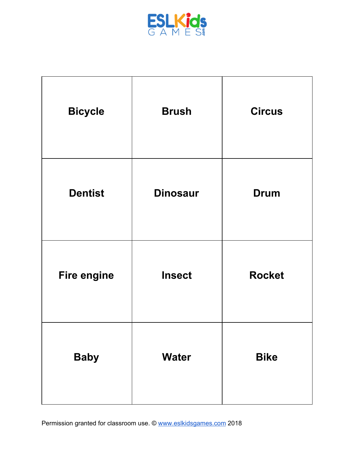

| <b>Bicycle</b>     | <b>Brush</b>    | <b>Circus</b> |
|--------------------|-----------------|---------------|
| <b>Dentist</b>     | <b>Dinosaur</b> | <b>Drum</b>   |
| <b>Fire engine</b> | <b>Insect</b>   | <b>Rocket</b> |
| <b>Baby</b>        | <b>Water</b>    | <b>Bike</b>   |